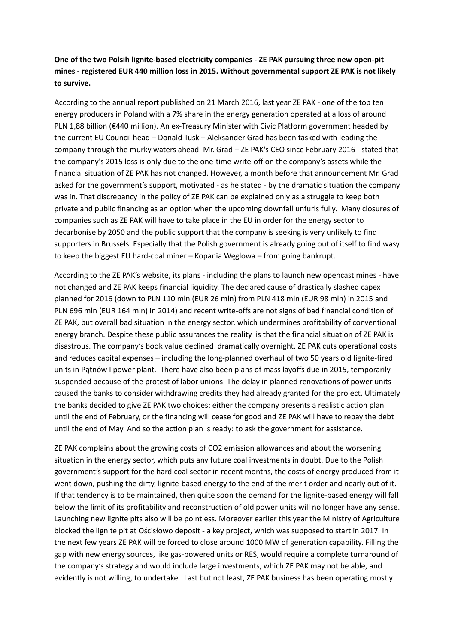**One of the two Polsih lignite-based electricity companies - ZE PAK pursuing three new open-pit mines - registered EUR 440 million loss in 2015. Without governmental support ZE PAK is not likely to survive.** 

According to the annual report published on 21 March 2016, last year ZE PAK - one of the top ten energy producers in Poland with a 7% share in the energy generation operated at a loss of around PLN 1,88 billion (€440 million). An ex-Treasury Minister with Civic Platform government headed by the current EU Council head – Donald Tusk – Aleksander Grad has been tasked with leading the company through the murky waters ahead. Mr. Grad – ZE PAK's CEO since February 2016 - stated that the company's 2015 loss is only due to the one-time write-off on the company's assets while the financial situation of ZE PAK has not changed. However, a month before that announcement Mr. Grad asked for the government's support, motivated - as he stated - by the dramatic situation the company was in. That discrepancy in the policy of ZE PAK can be explained only as a struggle to keep both private and public financing as an option when the upcoming downfall unfurls fully. Many closures of companies such as ZE PAK will have to take place in the EU in order for the energy sector to decarbonise by 2050 and the public support that the company is seeking is very unlikely to find supporters in Brussels. Especially that the Polish government is already going out of itself to find wasy to keep the biggest EU hard-coal miner – Kopania Węglowa – from going bankrupt.

According to the ZE PAK's website, its plans - including the plans to launch new opencast mines - have not changed and ZE PAK keeps financial liquidity. The declared cause of drastically slashed capex planned for 2016 (down to PLN 110 mln (EUR 26 mln) from PLN 418 mln (EUR 98 mln) in 2015 and PLN 696 mln (EUR 164 mln) in 2014) and recent write-offs are not signs of bad financial condition of ZE PAK, but overall bad situation in the energy sector, which undermines profitability of conventional energy branch. Despite these public assurances the reality is that the financial situation of ZE PAK is disastrous. The company's book value declined dramatically overnight. ZE PAK cuts operational costs and reduces capital expenses – including the long-planned overhaul of two 50 years old lignite-fired units in Pątnów I power plant. There have also been plans of mass layoffs due in 2015, temporarily suspended because of the protest of labor unions. The delay in planned renovations of power units caused the banks to consider withdrawing credits they had already granted for the project. Ultimately the banks decided to give ZE PAK two choices: either the company presents a realistic action plan until the end of February, or the financing will cease for good and ZE PAK will have to repay the debt until the end of May. And so the action plan is ready: to ask the government for assistance.

ZE PAK complains about the growing costs of CO2 emission allowances and about the worsening situation in the energy sector, which puts any future coal investments in doubt. Due to the Polish government's support for the hard coal sector in recent months, the costs of energy produced from it went down, pushing the dirty, lignite-based energy to the end of the merit order and nearly out of it. If that tendency is to be maintained, then quite soon the demand for the lignite-based energy will fall below the limit of its profitability and reconstruction of old power units will no longer have any sense. Launching new lignite pits also will be pointless. Moreover earlier this year the Ministry of Agriculture blocked the lignite pit at Ościsłowo deposit - a key project, which was supposed to start in 2017. In the next few years ZE PAK will be forced to close around 1000 MW of generation capability. Filling the gap with new energy sources, like gas-powered units or RES, would require a complete turnaround of the company's strategy and would include large investments, which ZE PAK may not be able, and evidently is not willing, to undertake. Last but not least, ZE PAK business has been operating mostly